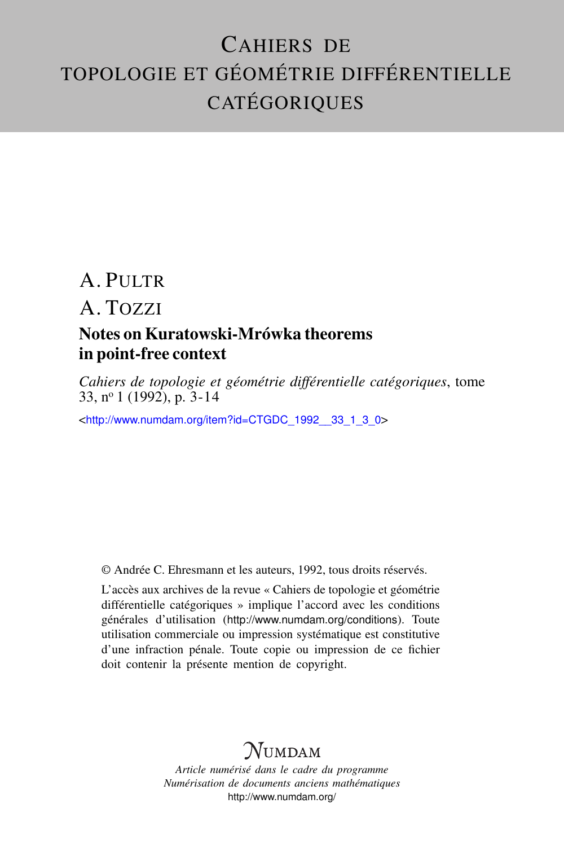# CAHIERS DE TOPOLOGIE ET GÉOMÉTRIE DIFFÉRENTIELLE **CATÉGORIQUES**

## A. PULTR

A. TOZZI

### Notes on Kuratowski-Mrówka theorems in point-free context

*Cahiers de topologie et géométrie différentielle catégoriques*, tome 33, n<sup>o</sup> 1 (1992), p. 3-14

<[http://www.numdam.org/item?id=CTGDC\\_1992\\_\\_33\\_1\\_3\\_0](http://www.numdam.org/item?id=CTGDC_1992__33_1_3_0)>

© Andrée C. Ehresmann et les auteurs, 1992, tous droits réservés.

L'accès aux archives de la revue « Cahiers de topologie et géométrie différentielle catégoriques » implique l'accord avec les conditions générales d'utilisation (<http://www.numdam.org/conditions>). Toute utilisation commerciale ou impression systématique est constitutive d'une infraction pénale. Toute copie ou impression de ce fichier doit contenir la présente mention de copyright.

## **NUMDAM**

*Article numérisé dans le cadre du programme Numérisation de documents anciens mathématiques* <http://www.numdam.org/>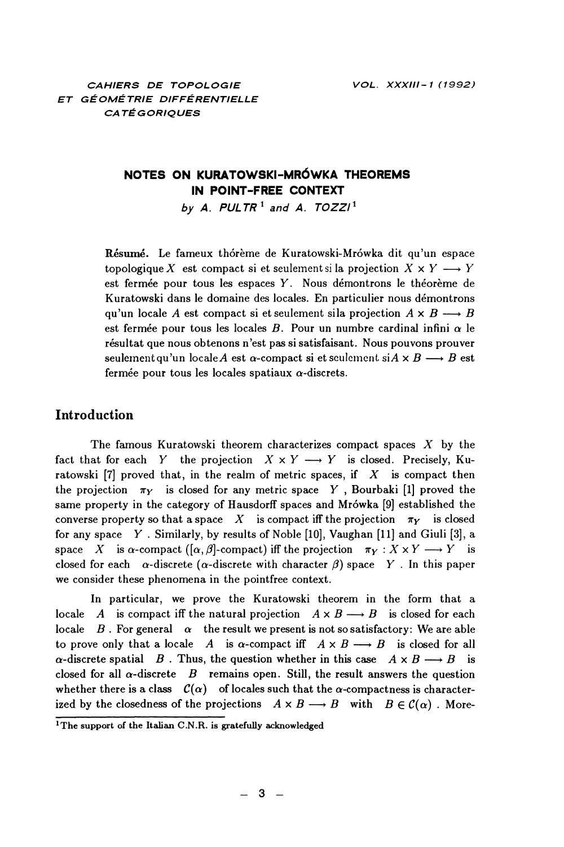### NOTES ON KURATOWSKI-MRÓWKA THEOREMS IN POINT-FREE CONTEXT

by A. PULTR<sup>1</sup> and A. TOZZI<sup>1</sup>

Résumé. Le fameux thórème de Kuratowski-Mrówka dit qu'un espace topologique X est compact si et seulement si la projection  $X \times Y \longrightarrow Y$ est fermée pour tous les espaces Y. Nous démontrons le théorème de Kuratowski dans le domaine des locales. En particulier nous démontrons qu'un locale A est compact si et seulement si la projection  $A \times B \longrightarrow B$ est fermée pour tous les locales B. Pour un numbre cardinal infini  $\alpha$  le résultat que nous obtenons n'est pas si satisfaisant. Nous pouvons prouver seulement qu'un locale A est  $\alpha$ -compact si et seulement si $A \times B \longrightarrow B$  est fermée pour tous les locales spatiaux  $\alpha$ -discrets.

#### **Introduction**

The famous Kuratowski theorem characterizes compact spaces  $X$  by the fact that for each Y the projection  $X \times Y \longrightarrow Y$  is closed. Precisely, Kuratowski [7] proved that, in the realm of metric spaces, if  $X$  is compact then the projection  $\pi_Y$  is closed for any metric space Y, Bourbaki [1] proved the same property in the category of Hausdorff spaces and Mrówka [9] established the converse property so that a space  $X$  is compact iff the projection  $\pi_Y$  is closed for any space  $Y$ . Similarly, by results of Noble [10], Vaughan [11] and Giuli [3], a space X is  $\alpha$ -compact ([ $\alpha$ ,  $\beta$ ]-compact) iff the projection  $\pi_Y : X \times Y \longrightarrow Y$  is closed for each  $\alpha$ -discrete ( $\alpha$ -discrete with character  $\beta$ ) space Y. In this paper we consider these phenomena in the pointfree context.

In particular, we prove the Kuratowski theorem in the form that a locale A is compact iff the natural projection  $A \times B \longrightarrow B$  is closed for each locale B. For general  $\alpha$  the result we present is not so satisfactory: We are able to prove only that a locale A is  $\alpha$ -compact iff  $A \times B \longrightarrow B$  is closed for all  $\alpha$ -discrete spatial  $B$ . Thus, the question whether in this case  $A \times B \longrightarrow B$  is closed for all  $\alpha$ -discrete B remains open. Still, the result answers the question whether there is a class  $C(\alpha)$  of locales such that the  $\alpha$ -compactness is characterized by the closedness of the projections  $A \times B \longrightarrow B$  with  $B \in \mathcal{C}(\alpha)$ . More-

<sup>&</sup>lt;sup>1</sup>The support of the Italian C.N.R. is gratefully acknowledged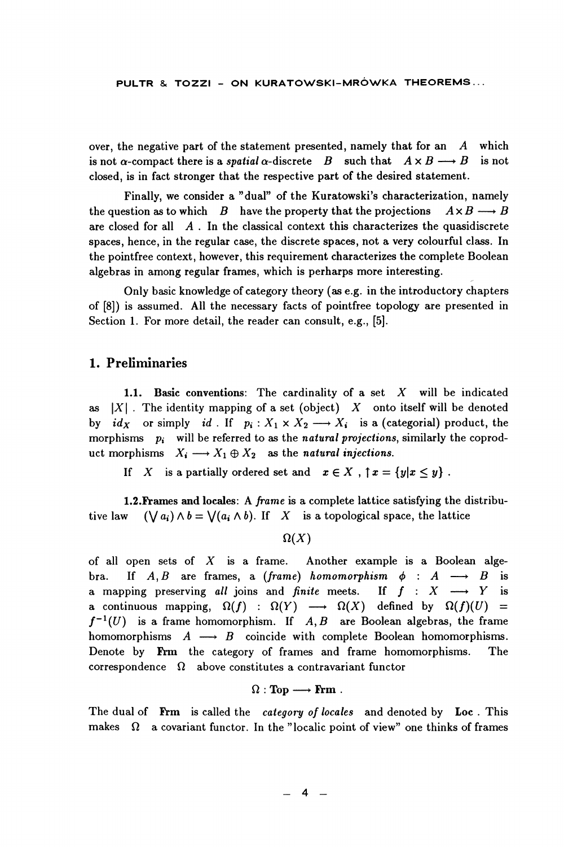over, the negative part of the statement presented, namely that for an  $A$  which is not  $\alpha$ -compact there is a *spatial*  $\alpha$ -discrete B such that  $A \times B \longrightarrow B$ is not closed, is in fact stronger that the respective part of the desired statement.

Finally, we consider a "dual" of the Kuratowski's characterization, namely the question as to which  $B$  have the property that the projections  $A \times B \longrightarrow B$ are closed for all  $\overline{A}$ . In the classical context this characterizes the quasidiscrete spaces, hence, in the regular case, the discrete spaces, not a very colourful class. In the pointfree context, however, this requirement characterizes the complete Boolean algebras in among regular frames, which is perharps more interesting.

Only basic knowledge of category theory (as e.g. in the introductory chapters of [8]) is assumed. All the necessary facts of pointfree topology are presented in Section 1. For more detail, the reader can consult, e.g., [5].

#### 1. Preliminaries

1.1. Basic conventions: The cardinality of a set  $X$  will be indicated as  $|X|$ . The identity mapping of a set (object) X onto itself will be denoted by  $id_X$  or simply id. If  $p_i: X_1 \times X_2 \longrightarrow X_i$  is a (categorial) product, the morphisms  $p_i$  will be referred to as the natural projections, similarly the coproduct morphisms  $X_i \longrightarrow X_1 \oplus X_2$  as the natural injections.

If X is a partially ordered set and  $x \in X$ ,  $\uparrow x = \{y | x \le y\}$ .

1.2. Frames and locales: A frame is a complete lattice satisfying the distribu- $(\bigvee a_i) \wedge b = \bigvee (a_i \wedge b)$ . If X is a topological space, the lattice tive law

#### $\Omega(X)$

of all open sets of  $X$  is a frame. Another example is a Boolean alge-If  $A, B$  are frames, a (frame) homomorphism  $\phi : A \longrightarrow B$ is bra. a mapping preserving all joins and finite meets. If  $f : X \longrightarrow Y$ is a continuous mapping,  $\Omega(f)$  :  $\Omega(Y)$   $\longrightarrow$   $\Omega(X)$  defined by  $\Omega(f)(U)$  $\equiv$  $f^{-1}(U)$  is a frame homomorphism. If A, B are Boolean algebras, the frame homomorphisms  $A \longrightarrow B$  coincide with complete Boolean homomorphisms. Denote by Frm the category of frames and frame homomorphisms. The correspondence  $\Omega$  above constitutes a contravariant functor

#### $\Omega : \textbf{Top} \longrightarrow \textbf{Frm}$ .

The dual of Frm is called the category of locales and denoted by Loc. This makes  $\Omega$  a covariant functor. In the "localic point of view" one thinks of frames

 $\overline{4}$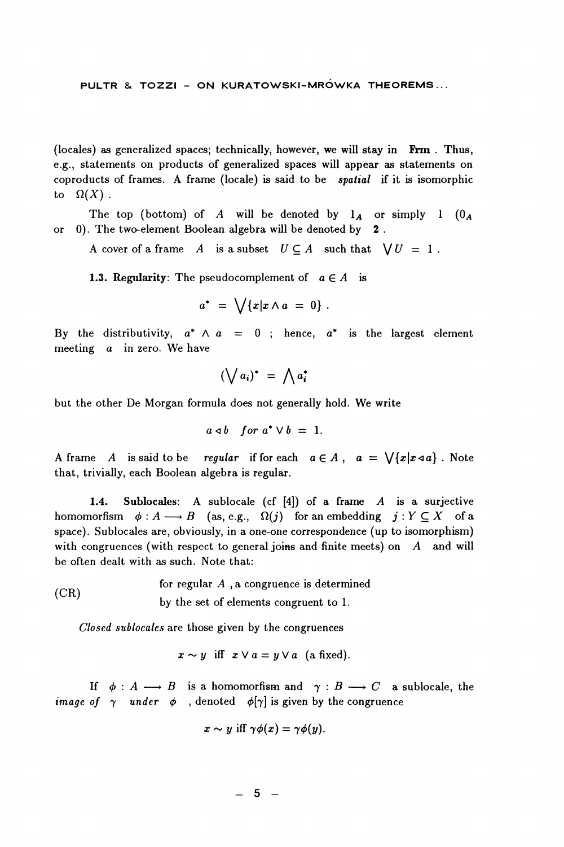(locales) as generalized spaces; technically, however, we will stay in Frm. Thus, e.g., statements on products of generalized spaces will appear as statements on coproducts of frames. A frame (locale) is said to be *spatial* if it is isomorphic to  $\Omega(X)$ .

The top (bottom) of A will be denoted by  $1_A$  or simply 1  $(0_A$ or 0). The two-element Boolean algebra will be denoted by 2.

A cover of a frame A is a subset  $U \subseteq A$  such that  $\bigvee U = 1$ .

**1.3. Regularity:** The pseudocomplement of  $a \in A$  is

$$
a^* = \bigvee \{x | x \wedge a = 0\}.
$$

By the distributivity,  $a^* \wedge a = 0$ ; hence,  $a^*$  is the largest element meeting  $a$  in zero. We have

$$
(\bigvee a_i)^* = \bigwedge a_i^*
$$

but the other De Morgan formula does not generally hold. We write

$$
a \triangleleft b \quad for \; a^* \vee b \; = \; 1.
$$

A frame  $A$  is said to be regular if for each  $a \in A$ ,  $a = \sqrt{x|x+a|}$ . Note that, trivially, each Boolean algebra is regular.

Sublocales: A sublocale (cf  $[4]$ ) of a frame A is a surjective  $1.4.$ homomorfism  $\phi: A \longrightarrow B$  (as, e.g.,  $\Omega(j)$  for an embedding  $j: Y \subseteq X$  of a space). Sublocales are, obviously, in a one-one correspondence (up to isomorphism) with congruences (with respect to general joins and finite meets) on  $A$  and will be often dealt with as such. Note that:

for regular  $A$ , a congruence is determined  $(CR)$ by the set of elements congruent to 1.

Closed sublocales are those given by the congruences

$$
x \sim y
$$
 iff  $x \vee a = y \vee a$  (a fixed).

If  $\phi : A \longrightarrow B$  is a homomorfism and  $\gamma : B \longrightarrow C$  a sublocale, the *image of*  $\gamma$  *under*  $\phi$  , denoted  $\phi[\gamma]$  is given by the congruence

$$
x \sim y \text{ iff } \gamma \phi(x) = \gamma \phi(y).
$$

 $-5 -$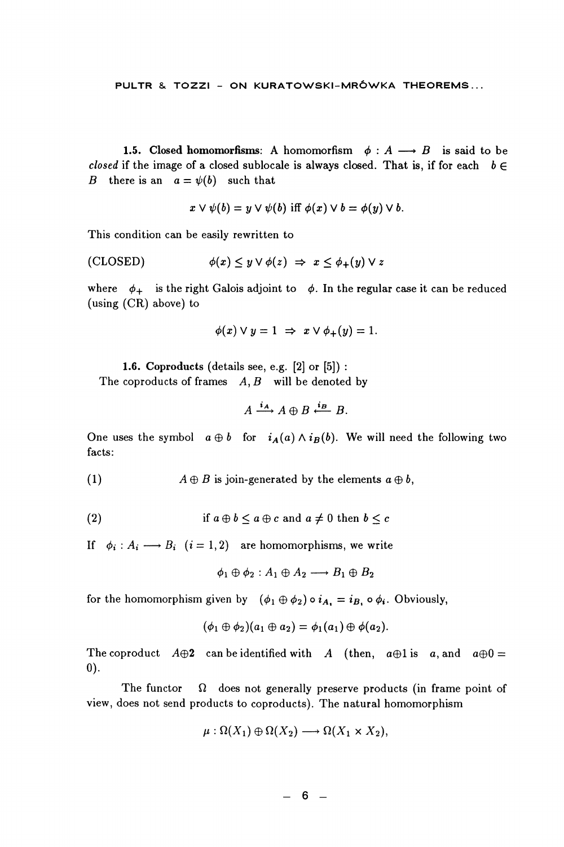1.5. Closed homomorfisms: A homomorfism  $\phi : A \longrightarrow B$  is said to be closed if the image of a closed sublocale is always closed. That is, if for each  $b \in$ B there is an  $a = \psi(b)$  such that

$$
x \vee \psi(b) = y \vee \psi(b) \text{ iff } \phi(x) \vee b = \phi(y) \vee b.
$$

This condition can be easily rewritten to

$$
\text{(CLOSED)} \qquad \qquad \phi(x) \leq y \vee \phi(z) \ \Rightarrow \ x \leq \phi_+(y) \vee z
$$

where  $\phi_+$  is the right Galois adjoint to  $\phi$ . In the regular case it can be reduced (using  $(CR)$  above) to

$$
\phi(x) \vee y = 1 \Rightarrow x \vee \phi_+(y) = 1.
$$

1.6. Coproducts (details see, e.g.  $[2]$  or  $[5]$ ):

The coproducts of frames  $A, B$  will be denoted by

$$
A \xrightarrow{i_{A}} A \oplus B \xleftarrow{i_{B}} B.
$$

One uses the symbol  $a \oplus b$  for  $i_A(a) \wedge i_B(b)$ . We will need the following two facts:

 $(1)$  $A \oplus B$  is join-generated by the elements  $a \oplus b$ ,

(2) if 
$$
a \oplus b \leq a \oplus c
$$
 and  $a \neq 0$  then  $b \leq c$ 

If  $\phi_i : A_i \longrightarrow B_i$   $(i = 1, 2)$  are homomorphisms, we write

$$
\phi_1 \oplus \phi_2 : A_1 \oplus A_2 \longrightarrow B_1 \oplus B_2
$$

for the homomorphism given by  $(\phi_1 \oplus \phi_2) \circ i_{A_1} = i_{B_1} \circ \phi_i$ . Obviously,

$$
(\phi_1\oplus \phi_2)(a_1\oplus a_2)=\phi_1(a_1)\oplus \phi(a_2).
$$

The coproduct  $A\oplus 2$  can be identified with A (then,  $a\oplus 1$  is a, and  $a\oplus 0=$  $(0).$ 

The functor  $\Omega$  does not generally preserve products (in frame point of view, does not send products to coproducts). The natural homomorphism

$$
\mu: \Omega(X_1) \oplus \Omega(X_2) \longrightarrow \Omega(X_1 \times X_2),
$$

 $- 6 -$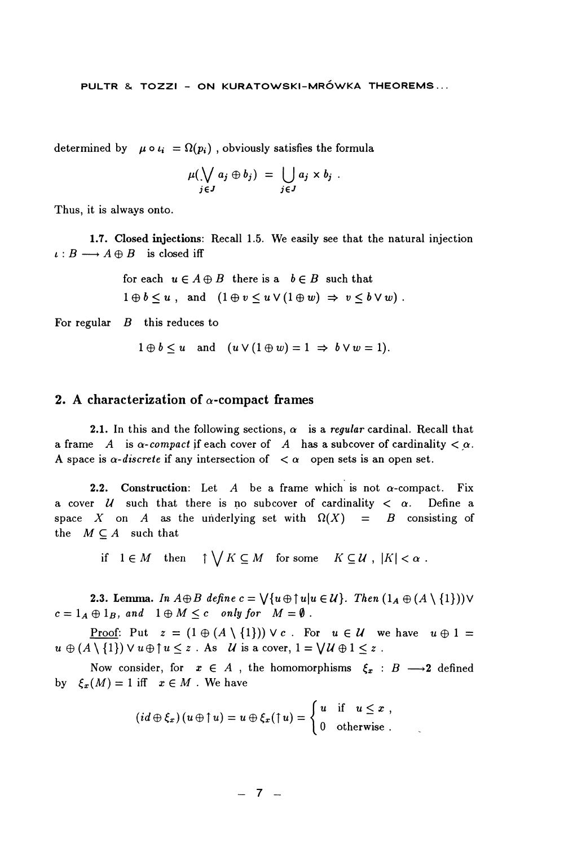determined by  $\mu \circ \iota_i = \Omega(p_i)$ , obviously satisfies the formula

$$
\mu(\bigvee_{j\in J}a_j\oplus b_j)\;=\;\bigcup_{j\in J}a_j\times b_j\;.
$$

Thus, it is always onto.

1.7. Closed injections: Recall 1.5. We easily see that the natural injection  $\iota: B \longrightarrow A \oplus B$  is closed iff

> for each  $u \in A \oplus B$  there is a  $b \in B$  such that  $1 \oplus b \leq u$ , and  $(1 \oplus v \leq u \vee (1 \oplus w) \Rightarrow v \leq b \vee w)$ .

For regular  $B$  this reduces to

$$
1 \oplus b \leq u
$$
 and  $(u \vee (1 \oplus w) = 1 \Rightarrow b \vee w = 1).$ 

#### 2. A characterization of  $\alpha$ -compact frames

2.1. In this and the following sections,  $\alpha$  is a regular cardinal. Recall that a frame A is  $\alpha$ -compact if each cover of A has a subcover of cardinality  $\alpha$ . A space is  $\alpha$ -discrete if any intersection of  $\alpha$  open sets is an open set.

2.2. Construction: Let  $A$  be a frame which is not  $\alpha$ -compact. Fix a cover  $U$  such that there is no subcover of cardinality  $\langle \alpha \rangle$ . Define a space X on A as the underlying set with  $\Omega(X)$  = B consisting of the  $M \subseteq A$  such that

if  $1 \in M$  then  $\uparrow \bigvee K \subseteq M$  for some  $K \subseteq U$ ,  $|K| < \alpha$ .

**2.3. Lemma.** In  $A \oplus B$  define  $c = \bigvee \{u \oplus \uparrow u | u \in \mathcal{U}\}\$ . Then  $(1_A \oplus (A \setminus \{1\})) \vee$  $c = 1_A \oplus 1_B$ , and  $1 \oplus M \leq c$  only for  $M = \emptyset$ .

<u>Proof:</u> Put  $z = (1 \oplus (A \setminus \{1\})) \vee c$ . For  $u \in U$  we have  $u \oplus 1 =$  $u \oplus (A \setminus \{1\}) \vee u \oplus \uparrow u \leq z$ . As U is a cover,  $1 = \bigvee U \oplus 1 \leq z$ .

Now consider, for  $x \in A$ , the homomorphisms  $\xi_x : B \longrightarrow 2$  defined by  $\xi_x(M) = 1$  iff  $x \in M$ . We have

$$
(id \oplus \xi_x)(u \oplus \uparrow u) = u \oplus \xi_x(\uparrow u) = \begin{cases} u & \text{if } u \leq x, \\ 0 & \text{otherwise.} \end{cases}
$$

$$
-7.
$$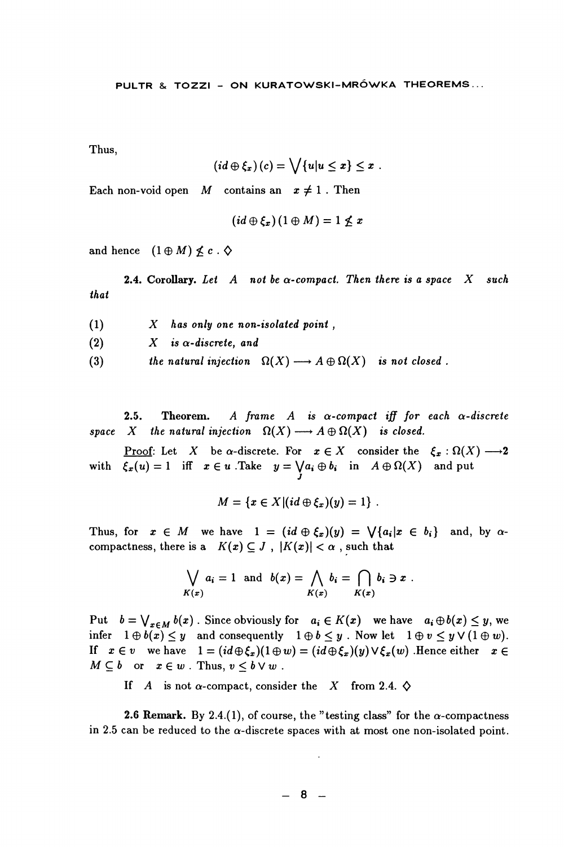Thus.

$$
(id \oplus \xi_x)(c) = \bigvee \{u | u \leq x\} \leq x.
$$

Each non-void open M contains an  $x \neq 1$ . Then

$$
(id \oplus \xi_x)(1 \oplus M) = 1 \nleq x
$$

and hence  $(1 \oplus M) \nleq c \cdot \diamond$ 

**2.4.** Corollary, Let A not be  $\alpha$ -compact. Then there is a space X such that

- $X$  has only one non-isolated point,  $(1)$
- $(2)$  $X$  is  $\alpha$ -discrete, and
- the natural injection  $\Omega(X) \longrightarrow A \oplus \Omega(X)$  is not closed.  $(3)$

 $2.5.$ A frame A is  $\alpha$ -compact iff for each  $\alpha$ -discrete Theorem. space X the natural injection  $\Omega(X) \longrightarrow A \oplus \Omega(X)$  is closed.

Proof: Let X be  $\alpha$ -discrete. For  $x \in X$  consider the  $\xi_x : \Omega(X) \longrightarrow 2$ with  $\xi_x(u) = 1$  iff  $x \in u$ . Take  $y = \bigvee a_i \oplus b_i$  in  $A \oplus \Omega(X)$  and put

$$
M = \{x \in X | (id \oplus \xi_x)(y) = 1\}.
$$

Thus, for  $x \in M$  we have  $1 = (id \oplus \xi_x)(y) = \sqrt{a_i|x \in b_i}$  and, by  $\alpha$ compactness, there is a  $K(x) \subseteq J$ ,  $|K(x)| < \alpha$ , such that

$$
\bigvee_{K(x)} a_i = 1 \text{ and } b(x) = \bigwedge_{K(x)} b_i = \bigcap_{K(x)} b_i \ni x.
$$

Put  $b = \bigvee_{x \in M} b(x)$ . Since obviously for  $a_i \in K(x)$  we have  $a_i \oplus b(x) \leq y$ , we infer  $1 \oplus b(x) \leq y$  and consequently  $1 \oplus b \leq y$ . Now let  $1 \oplus v \leq y \vee (1 \oplus w)$ . If  $x \in v$  we have  $1 = (id \oplus \xi_x)(1 \oplus w) = (id \oplus \xi_x)(y) \vee \xi_x(w)$ . Hence either  $x \in$  $M \subseteq b$  or  $x \in w$ . Thus,  $v \leq b \vee w$ .

If A is not  $\alpha$ -compact, consider the X from 2.4.  $\diamondsuit$ 

**2.6 Remark.** By 2.4.(1), of course, the "testing class" for the  $\alpha$ -compactness in 2.5 can be reduced to the  $\alpha$ -discrete spaces with at most one non-isolated point.

 $-8-$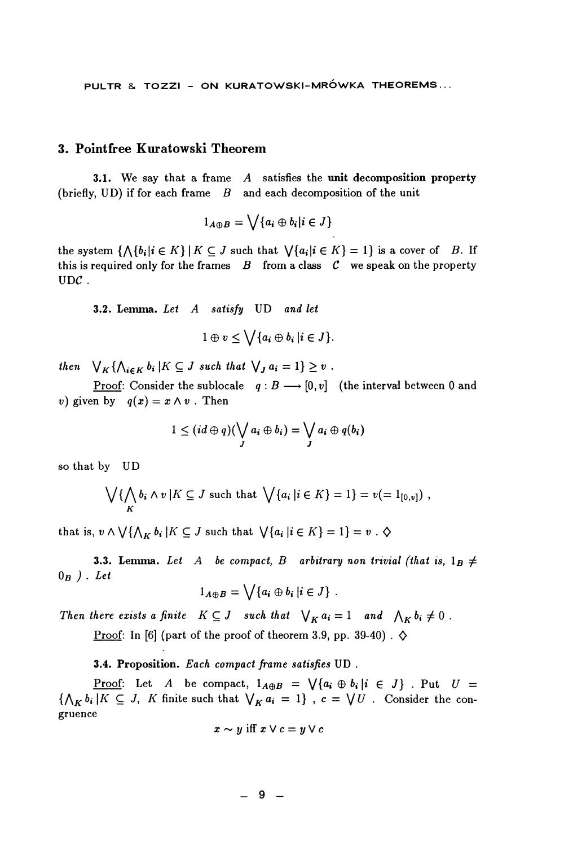PULTR & TOZZI - ON KURATOWSKI-MRÓWKA THEOREMS...

#### 3. Pointfree Kuratowski Theorem

3.1. We say that a frame  $A$  satisfies the unit decomposition property (briefly, UD) if for each frame  $B$  and each decomposition of the unit

$$
1_{A\oplus B}=\bigvee\{a_i\oplus b_i|i\in J\}
$$

the system  $\{\bigwedge\{b_i|i\in K\}\mid K\subseteq J \text{ such that } \bigvee\{a_i|i\in K\}=1\}$  is a cover of B. If this is required only for the frames  $B$  from a class  $C$  we speak on the property  $_{\text{UDC}}$ .

3.2. Lemma. Let A satisfy UD and let

$$
1\oplus v\leq \bigvee\{a_i\oplus b_i\,|i\in J\}.
$$

then  $\bigvee_K {\bigwedge_{i \in K} b_i \mid K \subseteq J}$  such that  $\bigvee_J a_i = 1$   $\geq v$ .

<u>Proof</u>: Consider the sublocale  $q: B \longrightarrow [0, v]$  (the interval between 0 and v) given by  $q(x) = x \wedge v$ . Then

$$
1\leq (id\oplus q)(\bigvee_j a_i\oplus b_i)=\bigvee_j a_i\oplus q(b_i)
$$

so that by UD

$$
\bigvee_K \{ \bigwedge_K b_i \wedge v \mid K \subseteq J \text{ such that } \bigvee \{ a_i \mid i \in K \} = 1 \} = v (= 1_{[0,v]}) ,
$$

that is,  $v \wedge \bigvee {\wedge}_{K} b_i | K \subseteq J$  such that  $\bigvee {a_i | i \in K} = 1 = v \cdot \diamond$ 

**3.3. Lemma.** Let A be compact, B arbitrary non trivial (that is,  $1_B \neq$  $0_B$ ). Let

$$
1_{A\oplus B}=\bigvee\{a_i\oplus b_i\,\vert i\in J\}\ .
$$

Then there exists a finite  $K \subseteq J$  such that  $\bigvee_K a_i = 1$  and  $\bigwedge_K b_i \neq 0$ .

Proof: In [6] (part of the proof of theorem 3.9, pp. 39-40).  $\diamondsuit$ 

#### 3.4. Proposition. Each compact frame satisfies UD.

<u>Proof</u>: Let A be compact,  $1_{A\oplus B} = \bigvee \{a_i \oplus b_i | i \in J\}$ . Put  $U =$  $\{\bigwedge_K b_i | K \subseteq J, K \text{ finite such that } \bigvee_K a_i = 1\}$ ,  $c = \bigvee U$ . Consider the congruence

$$
x \sim y \text{ iff } x \vee c = y \vee c
$$

 $-9-$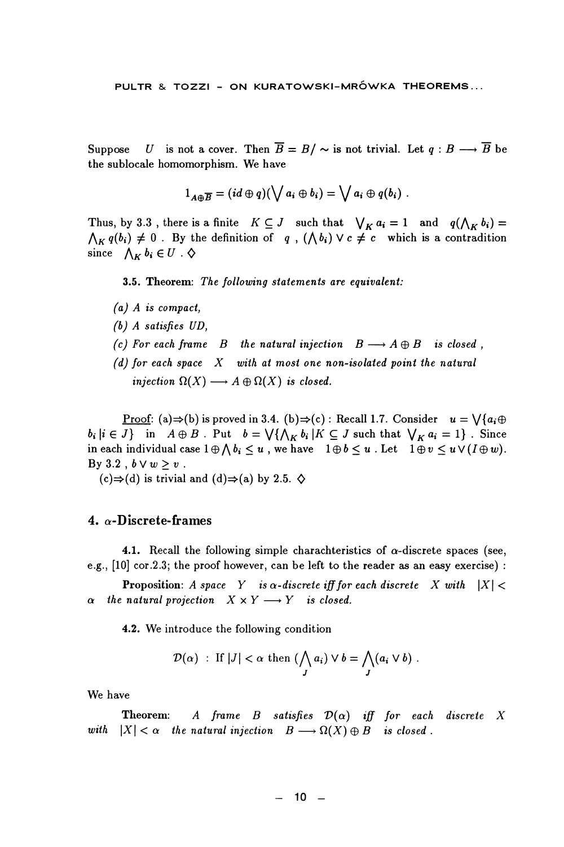U is not a cover. Then  $\overline{B} = B / \sim$  is not trivial. Let  $q : B \longrightarrow \overline{B}$  be Suppose the sublocale homomorphism. We have

$$
1_{A\oplus\overline{B}}=(id\oplus q)(\bigvee a_i\oplus b_i)=\bigvee a_i\oplus q(b_i).
$$

Thus, by 3.3, there is a finite  $K \subseteq J$  such that  $\bigvee_K a_i = 1$  and  $q(\bigwedge_K b_i) =$  $\bigwedge_{K} q(b_i) \neq 0$ . By the definition of q,  $(\bigwedge b_i) \vee c \neq c$  which is a contradition since  $\bigwedge_{K} b_i \in U \cdot \diamondsuit$ 

3.5. Theorem: The following statements are equivalent:

- $(a)$  A is compact,
- $(b)$  A satisfies  $UD$ .
- (c) For each frame B the natural injection  $B \longrightarrow A \oplus B$  is closed,
- (d) for each space  $X$  with at most one non-isolated point the natural injection  $\Omega(X) \longrightarrow A \oplus \Omega(X)$  is closed.

**Proof:** (a)  $\Rightarrow$  (b) is proved in 3.4. (b)  $\Rightarrow$  (c) : Recall 1.7. Consider  $u = \sqrt{a_i \oplus b_j}$  $b_i | i \in J$  in  $A \oplus B$ . Put  $b = \bigvee \{ \bigwedge_K b_i | K \subseteq J \text{ such that } \bigvee_K a_i = 1 \}$ . Since in each individual case  $1 \oplus \bigwedge b_i \leq u$ , we have  $1 \oplus b \leq u$ . Let  $1 \oplus v \leq u \vee (I \oplus w)$ . By 3.2,  $b \vee w \geq v$ .

 $(c) \Rightarrow (d)$  is trivial and  $(d) \Rightarrow (a)$  by 2.5.  $\diamondsuit$ 

#### 4.  $\alpha$ -Discrete-frames

**4.1.** Recall the following simple charachteristics of  $\alpha$ -discrete spaces (see, e.g., [10] cor.2.3; the proof however, can be left to the reader as an easy exercise) :

**Proposition:** A space Y is  $\alpha$ -discrete iff for each discrete X with  $|X|$  $\alpha$  the natural projection  $X \times Y \longrightarrow Y$  is closed.

4.2. We introduce the following condition

$$
\mathcal{D}(\alpha) : \text{ If } |J| < \alpha \text{ then } \left( \bigwedge_{J} a_{i} \right) \vee b = \bigwedge_{J} (a_{i} \vee b) .
$$

We have

Theorem: A frame B satisfies  $\mathcal{D}(\alpha)$  iff for each discrete X with  $|X| < \alpha$  the natural injection  $B \longrightarrow \Omega(X) \oplus B$  is closed.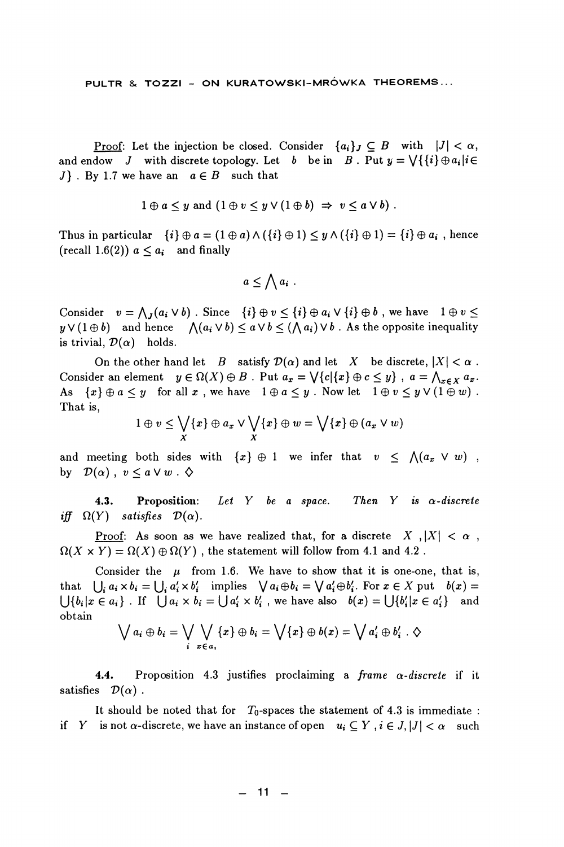Proof: Let the injection be closed. Consider  $\{a_i\}_I \subset B$  with  $|J| < \alpha$ , and endow J with discrete topology. Let b be in B. Put  $y = \sqrt{\{i\}} \oplus a_i | i \in$ J }. By 1.7 we have an  $a \in B$  such that

$$
1 \oplus a \leq y
$$
 and  $(1 \oplus v \leq y \vee (1 \oplus b) \Rightarrow v \leq a \vee b)$ .

Thus in particular  $\{i\} \oplus a = (1 \oplus a) \wedge (\{i\} \oplus 1) \leq y \wedge (\{i\} \oplus 1) = \{i\} \oplus a_i$ , hence (recall 1.6(2))  $a \leq a_i$  and finally

$$
a \leq \bigwedge a_i
$$
.

Consider  $v = \bigwedge_i (a_i \vee b)$ . Since  $\{i\} \oplus v \leq \{i\} \oplus a_i \vee \{i\} \oplus b$ , we have  $1 \oplus v \leq$  $y \vee (1 \oplus b)$  and hence  $\bigwedge (a_i \vee b) \leq a \vee b \leq (\bigwedge a_i) \vee b$ . As the opposite inequality is trivial,  $\mathcal{D}(\alpha)$  holds.

On the other hand let  $B$  satisfy  $\mathcal{D}(\alpha)$  and let X be discrete,  $|X| < \alpha$ . Consider an element  $y \in \Omega(X) \oplus B$ . Put  $a_x = \bigvee \{c | \{x\} \oplus c \leq y\}$ ,  $a = \bigwedge_{x \in X} a_x$ . As  $\{x\} \oplus a \leq y$  for all  $x$ , we have  $1 \oplus a \leq y$ . Now let  $1 \oplus v \leq y \vee (1 \oplus w)$ . That is.

$$
1\oplus v\leq \bigvee_X \{x\}\oplus a_x\vee \bigvee_X \{x\}\oplus w=\bigvee \{x\}\oplus (a_x\vee w)
$$

and meeting both sides with  $\{x\} \oplus 1$  we infer that  $v \le \Lambda(a_x \vee w)$ , by  $\mathcal{D}(\alpha)$ ,  $v \leq a \vee w$ .  $\diamondsuit$ 

Let Y be a space. Then Y is  $\alpha$ -discrete  $4.3.$ Proposition: iff  $\Omega(Y)$  satisfies  $\mathcal{D}(\alpha)$ .

Proof: As soon as we have realized that, for a discrete X,  $|X| < \alpha$ ,  $\Omega(X \times Y) = \Omega(X) \oplus \Omega(Y)$ , the statement will follow from 4.1 and 4.2.

Consider the  $\mu$  from 1.6. We have to show that it is one-one, that is, that  $\bigcup_i a_i \times b_i = \bigcup_i a'_i \times b'_i$  implies  $\bigvee a_i \oplus b_i = \bigvee a'_i \oplus b'_i$ . For  $x \in X$  put  $b(x) =$  $\bigcup \{b_i | x \in a_i\}$ . If  $\bigcup a_i \times b_i = \bigcup a'_i \times b'_i$ , we have also  $b(x) = \bigcup \{b'_i | x \in a'_i\}$  and obtain

$$
\bigvee a_i \oplus b_i = \bigvee_{i} \bigvee_{x \in a_i} \{x\} \oplus b_i = \bigvee \{x\} \oplus b(x) = \bigvee a'_i \oplus b'_i . \diamondsuit
$$

 $4.4.$ Proposition 4.3 justifies proclaiming a frame  $\alpha$ -discrete if it satisfies  $\mathcal{D}(\alpha)$ .

It should be noted that for  $T_0$ -spaces the statement of 4.3 is immediate : if Y is not  $\alpha$ -discrete, we have an instance of open  $u_i \subseteq Y$ ,  $i \in J, |J| < \alpha$  such

 $-11 -$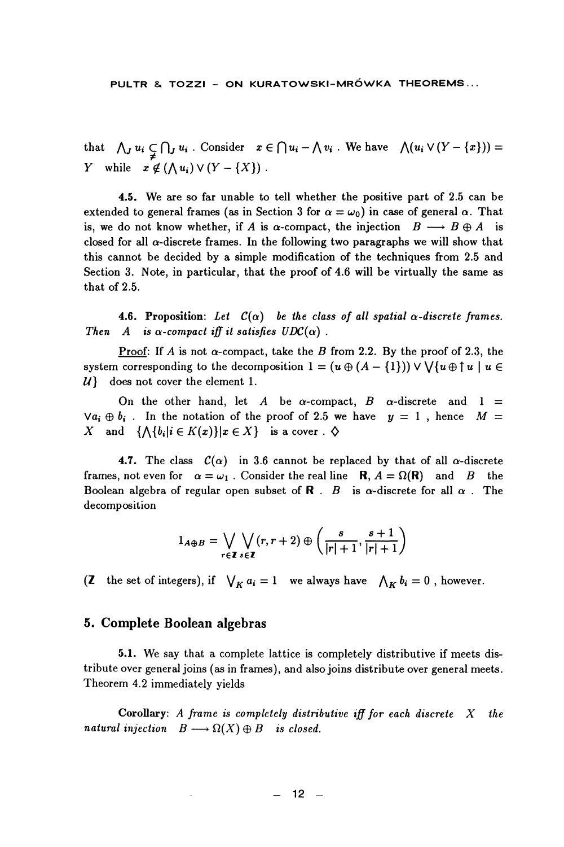that  $\bigwedge_j u_i \subsetneq \bigcap_j u_i$ . Consider  $x \in \bigcap u_i - \bigwedge v_i$ . We have  $\bigwedge (u_i \vee (Y - \{x\})) = Y$  while  $x \notin (\bigwedge u_i) \vee (Y - \{X\})$ .

4.5. We are so far unable to tell whether the positive part of 2.5 can be extended to general frames (as in Section 3 for  $\alpha = \omega_0$ ) in case of general  $\alpha$ . That is, we do not know whether, if A is  $\alpha$ -compact, the injection  $B \longrightarrow B \oplus A$  is closed for all  $\alpha$ -discrete frames. In the following two paragraphs we will show that this cannot be decided by a simple modification of the techniques from 2.5 and Section 3. Note, in particular, that the proof of 4.6 will be virtually the same as that of 2.5.

**4.6. Proposition:** Let  $C(\alpha)$  be the class of all spatial  $\alpha$ -discrete frames. Then A is  $\alpha$ -compact iff it satisfies  $UDC(\alpha)$ .

Proof: If A is not  $\alpha$ -compact, take the B from 2.2. By the proof of 2.3, the system corresponding to the decomposition  $1 = (u \oplus (A - \{1\})) \vee \bigvee \{u \oplus \uparrow u \mid u \in$  $\mathcal{U}$ does not cover the element 1.

On the other hand, let A be  $\alpha$ -compact, B  $\alpha$ -discrete and 1 =  $\forall a_i \oplus b_i$ . In the notation of the proof of 2.5 we have  $y = 1$ , hence  $M =$ X and  $\{\bigwedge\{b_i|i\in K(x)\}|x\in X\}$  is a cover.  $\diamondsuit$ 

**4.7.** The class  $C(\alpha)$  in 3.6 cannot be replaced by that of all  $\alpha$ -discrete frames, not even for  $\alpha = \omega_1$ . Consider the real line **R**,  $A = \Omega(\mathbf{R})$  and *B* the Boolean algebra of regular open subset of  $\mathbf{R}$ . B is  $\alpha$ -discrete for all  $\alpha$ . The decomposition

$$
1_{A\oplus B} = \bigvee_{r \in \mathbf{Z}} \bigvee_{s \in \mathbf{Z}} (r, r+2) \oplus \left( \frac{s}{|r|+1}, \frac{s+1}{|r|+1} \right)
$$

(Z the set of integers), if  $\bigvee_K a_i = 1$  we always have  $\bigwedge_K b_i = 0$ , however.

#### 5. Complete Boolean algebras

5.1. We say that a complete lattice is completely distributive if meets distribute over general joins (as in frames), and also joins distribute over general meets. Theorem 4.2 immediately yields

Corollary: A frame is completely distributive iff for each discrete  $X$ *the* natural injection  $B \longrightarrow \Omega(X) \oplus B$  is closed.

 $12 -$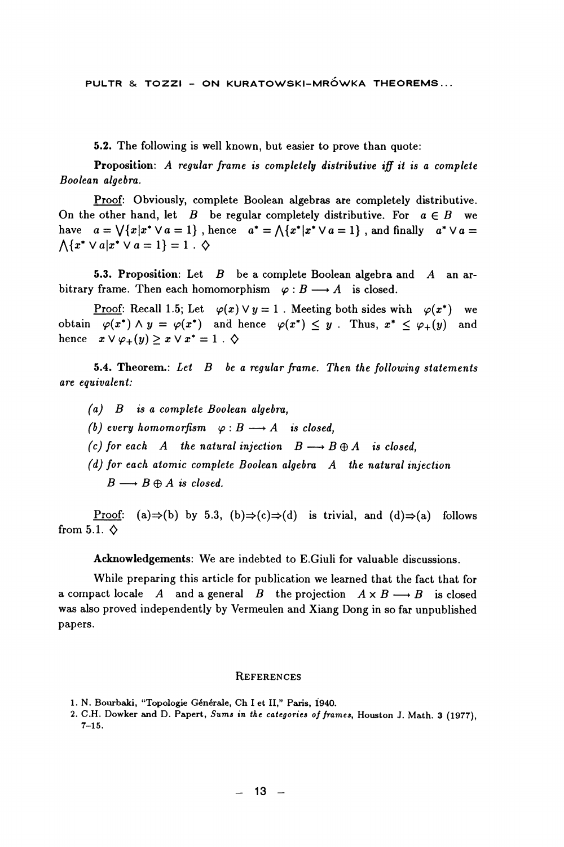PULTR & TOZZI - ON KURATOWSKI-MRÓWKA THEOREMS...

5.2. The following is well known, but easier to prove than quote:

Proposition: A regular frame is completely distributive iff it is a complete Boolean algebra.

Proof: Obviously, complete Boolean algebras are completely distributive. On the other hand, let  $B$  be regular completely distributive. For  $a \in B$  we have  $a = \sqrt{x}x^* \vee a = 1$ , hence  $a^* = \sqrt{x^*}x^* \vee a = 1$ , and finally  $a^* \vee a = 1$  $\bigwedge \{x^* \vee a | x^* \vee a = 1\} = 1$ .  $\diamond$ 

**5.3. Proposition:** Let  $B$  be a complete Boolean algebra and  $A$  an arbitrary frame. Then each homomorphism  $\varphi : B \longrightarrow A$  is closed.

<u>Proof:</u> Recall 1.5; Let  $\varphi(x) \vee y = 1$ . Meeting both sides with  $\varphi(x^*)$  we obtain  $\varphi(x^*) \wedge y = \varphi(x^*)$  and hence  $\varphi(x^*) \leq y$ . Thus,  $x^* \leq \varphi_+(y)$  and hence  $x \vee \varphi_+(y) \geq x \vee x^* = 1$ .  $\diamondsuit$ 

5.4. Theorem.: Let  $B$  be a regular frame. Then the following statements are equivalent:

- $(a)$  B is a complete Boolean algebra,
- (b) every homomorfism  $\varphi : B \longrightarrow A$  is closed.
- (c) for each A the natural injection  $B \longrightarrow B \oplus A$  is closed,
- $(d)$  for each atomic complete Boolean algebra  $A$  the natural injection  $B \longrightarrow B \oplus A$  is closed.

Proof: (a)  $\Rightarrow$  (b) by 5.3, (b)  $\Rightarrow$  (c)  $\Rightarrow$  (d) is trivial, and (d)  $\Rightarrow$  (a) follows from 5.1.  $\diamond$ 

Acknowledgements: We are indebted to E.Giuli for valuable discussions.

While preparing this article for publication we learned that the fact that for a compact locale A and a general B the projection  $A \times B \longrightarrow B$  is closed was also proved independently by Vermeulen and Xiang Dong in so far unpublished papers.

#### **REFERENCES**

<sup>1.</sup> N. Bourbaki, "Topologie Générale, Ch I et II," Paris, 1940.

<sup>2.</sup> C.H. Dowker and D. Papert, Sums in the categories of frames, Houston J. Math. 3 (1977),  $7 - 15.$